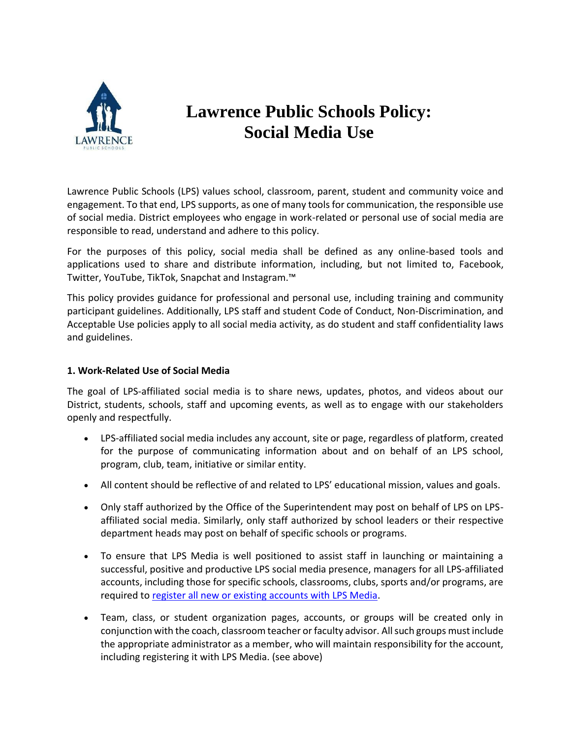

## **Lawrence Public Schools Policy: Social Media Use**

Lawrence Public Schools (LPS) values school, classroom, parent, student and community voice and engagement. To that end, LPS supports, as one of many tools for communication, the responsible use of social media. District employees who engage in work-related or personal use of social media are responsible to read, understand and adhere to this policy.

For the purposes of this policy, social media shall be defined as any online-based tools and applications used to share and distribute information, including, but not limited to, Facebook, Twitter, YouTube, TikTok, Snapchat and Instagram.™

This policy provides guidance for professional and personal use, including training and community participant guidelines. Additionally, LPS staff and student Code of Conduct, Non-Discrimination, and Acceptable Use policies apply to all social media activity, as do student and staff confidentiality laws and guidelines.

## **1. Work-Related Use of Social Media**

The goal of LPS-affiliated social media is to share news, updates, photos, and videos about our District, students, schools, staff and upcoming events, as well as to engage with our stakeholders openly and respectfully.

- LPS-affiliated social media includes any account, site or page, regardless of platform, created for the purpose of communicating information about and on behalf of an LPS school, program, club, team, initiative or similar entity.
- All content should be reflective of and related to LPS' educational mission, values and goals.
- Only staff authorized by the Office of the Superintendent may post on behalf of LPS on LPSaffiliated social media. Similarly, only staff authorized by school leaders or their respective department heads may post on behalf of specific schools or programs.
- To ensure that LPS Media is well positioned to assist staff in launching or maintaining a successful, positive and productive LPS social media presence, managers for all LPS-affiliated accounts, including those for specific schools, classrooms, clubs, sports and/or programs, are required to [register all new or existing accounts with LPS Media.](https://docs.google.com/forms/d/e/1FAIpQLSdQjngdgjX5VyvIlvKL5X7E6vepPYoYay27L3CUjGZFbFnmPA/viewform?usp=sf_link)
- Team, class, or student organization pages, accounts, or groups will be created only in conjunction with the coach, classroom teacher or faculty advisor. All such groups must include the appropriate administrator as a member, who will maintain responsibility for the account, including registering it with LPS Media. (see above)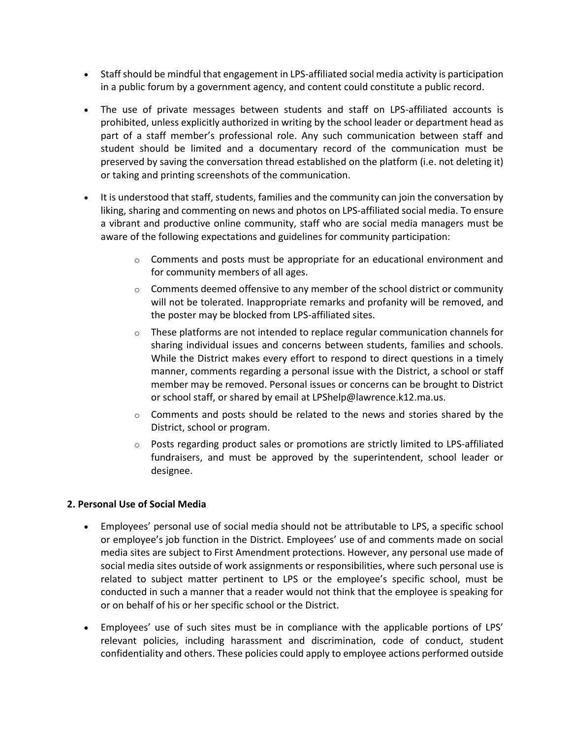- Staff should be mindful that engagement in LPS-affiliated social media activity is participation in a public forum by a government agency, and content could constitute a public record.
- The use of private messages between students and staff on LPS-affiliated accounts is prohibited, unless explicitly authorized in writing by the school leader or department head as part of a staff member's professional role. Any such communication between staff and student should be limited and a documentary record of the communication must be preserved by saving the conversation thread established on the platform (i.e. not deleting it) or taking and printing screenshots of the communication.
- It is understood that staff, students, families and the community can join the conversation by liking, sharing and commenting on news and photos on LPS-affiliated social media. To ensure a vibrant and productive online community, staff who are social media managers must be aware of the following expectations and guidelines for community participation:
	- $\circ$  Comments and posts must be appropriate for an educational environment and for community members of all ages.
	- $\circ$  Comments deemed offensive to any member of the school district or community will not be tolerated. Inappropriate remarks and profanity will be removed, and the poster may be blocked from LPS-affiliated sites.
	- $\circ$  These platforms are not intended to replace regular communication channels for sharing individual issues and concerns between students, families and schools. While the District makes every effort to respond to direct questions in a timely manner, comments regarding a personal issue with the District, a school or staff member may be removed. Personal issues or concerns can be brought to District or school staff, or shared by email at LPShelp@lawrence.k12.ma.us.
	- $\circ$  Comments and posts should be related to the news and stories shared by the District, school or program.
	- $\circ$  Posts regarding product sales or promotions are strictly limited to LPS-affiliated fundraisers, and must be approved by the superintendent, school leader or designee.

## **2. Personal Use of Social Media**

- Employees' personal use of social media should not be attributable to LPS, a specific school or employee's job function in the District. Employees' use of and comments made on social media sites are subject to First Amendment protections. However, any personal use made of social media sites outside of work assignments or responsibilities, where such personal use is related to subject matter pertinent to LPS or the employee's specific school, must be conducted in such a manner that a reader would not think that the employee is speaking for or on behalf of his or her specific school or the District.
- Employees' use of such sites must be in compliance with the applicable portions of LPS' relevant policies, including harassment and discrimination, code of conduct, student confidentiality and others. These policies could apply to employee actions performed outside